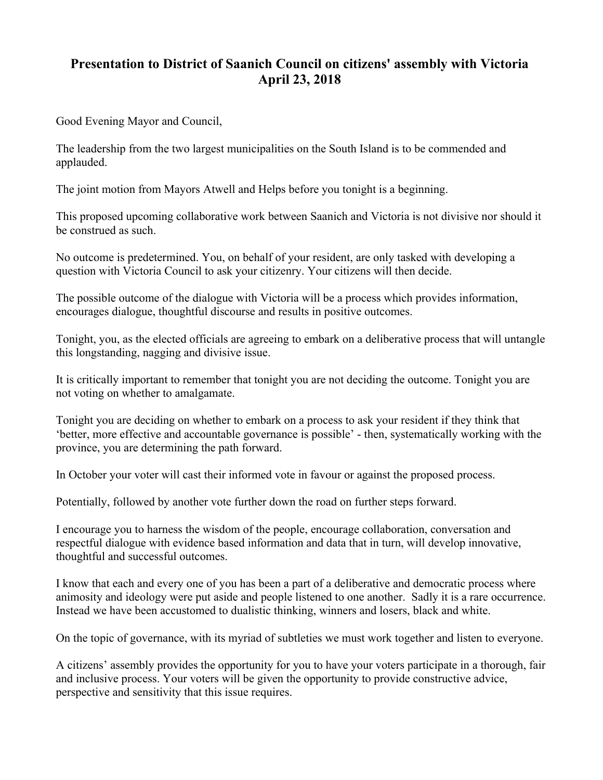## **Presentation to District of Saanich Council on citizens' assembly with Victoria April 23, 2018**

Good Evening Mayor and Council,

The leadership from the two largest municipalities on the South Island is to be commended and applauded.

The joint motion from Mayors Atwell and Helps before you tonight is a beginning.

This proposed upcoming collaborative work between Saanich and Victoria is not divisive nor should it be construed as such.

No outcome is predetermined. You, on behalf of your resident, are only tasked with developing a question with Victoria Council to ask your citizenry. Your citizens will then decide.

The possible outcome of the dialogue with Victoria will be a process which provides information, encourages dialogue, thoughtful discourse and results in positive outcomes.

Tonight, you, as the elected officials are agreeing to embark on a deliberative process that will untangle this longstanding, nagging and divisive issue.

It is critically important to remember that tonight you are not deciding the outcome. Tonight you are not voting on whether to amalgamate.

Tonight you are deciding on whether to embark on a process to ask your resident if they think that 'better, more effective and accountable governance is possible' - then, systematically working with the province, you are determining the path forward.

In October your voter will cast their informed vote in favour or against the proposed process.

Potentially, followed by another vote further down the road on further steps forward.

I encourage you to harness the wisdom of the people, encourage collaboration, conversation and respectful dialogue with evidence based information and data that in turn, will develop innovative, thoughtful and successful outcomes.

I know that each and every one of you has been a part of a deliberative and democratic process where animosity and ideology were put aside and people listened to one another. Sadly it is a rare occurrence. Instead we have been accustomed to dualistic thinking, winners and losers, black and white.

On the topic of governance, with its myriad of subtleties we must work together and listen to everyone.

A citizens' assembly provides the opportunity for you to have your voters participate in a thorough, fair and inclusive process. Your voters will be given the opportunity to provide constructive advice, perspective and sensitivity that this issue requires.